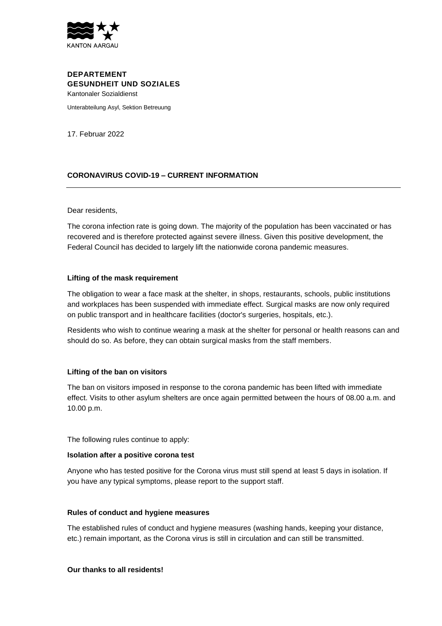

# **DEPARTEMENT GESUNDHEIT UND SOZIALES** Kantonaler Sozialdienst

Unterabteilung Asyl, Sektion Betreuung

17. Februar 2022

# **CORONAVIRUS COVID-19 – CURRENT INFORMATION**

### Dear residents,

The corona infection rate is going down. The majority of the population has been vaccinated or has recovered and is therefore protected against severe illness. Given this positive development, the Federal Council has decided to largely lift the nationwide corona pandemic measures.

### **Lifting of the mask requirement**

The obligation to wear a face mask at the shelter, in shops, restaurants, schools, public institutions and workplaces has been suspended with immediate effect. Surgical masks are now only required on public transport and in healthcare facilities (doctor's surgeries, hospitals, etc.).

Residents who wish to continue wearing a mask at the shelter for personal or health reasons can and should do so. As before, they can obtain surgical masks from the staff members.

# **Lifting of the ban on visitors**

The ban on visitors imposed in response to the corona pandemic has been lifted with immediate effect. Visits to other asylum shelters are once again permitted between the hours of 08.00 a.m. and 10.00 p.m.

The following rules continue to apply:

### **Isolation after a positive corona test**

Anyone who has tested positive for the Corona virus must still spend at least 5 days in isolation. If you have any typical symptoms, please report to the support staff.

### **Rules of conduct and hygiene measures**

The established rules of conduct and hygiene measures (washing hands, keeping your distance, etc.) remain important, as the Corona virus is still in circulation and can still be transmitted.

### **Our thanks to all residents!**